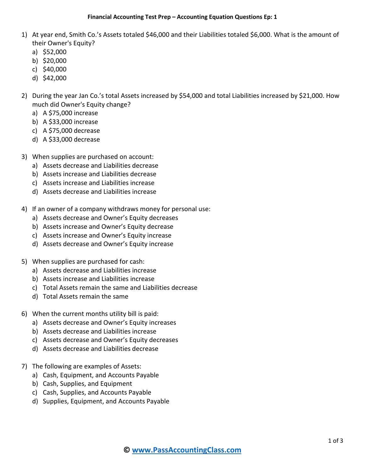## **Financial Accounting Test Prep – Accounting Equation Questions Ep: 1**

- 1) At year end, Smith Co.'s Assets totaled \$46,000 and their Liabilities totaled \$6,000. What is the amount of their Owner's Equity?
	- a) \$52,000
	- b) \$20,000
	- c) \$40,000
	- d) \$42,000
- 2) During the year Jan Co.'s total Assets increased by \$54,000 and total Liabilities increased by \$21,000. How much did Owner's Equity change?
	- a) A \$75,000 increase
	- b) A \$33,000 increase
	- c) A \$75,000 decrease
	- d) A \$33,000 decrease
- 3) When supplies are purchased on account:
	- a) Assets decrease and Liabilities decrease
	- b) Assets increase and Liabilities decrease
	- c) Assets increase and Liabilities increase
	- d) Assets decrease and Liabilities increase
- 4) If an owner of a company withdraws money for personal use:
	- a) Assets decrease and Owner's Equity decreases
	- b) Assets increase and Owner's Equity decrease
	- c) Assets increase and Owner's Equity increase
	- d) Assets decrease and Owner's Equity increase
- 5) When supplies are purchased for cash:
	- a) Assets decrease and Liabilities increase
	- b) Assets increase and Liabilities increase
	- c) Total Assets remain the same and Liabilities decrease
	- d) Total Assets remain the same
- 6) When the current months utility bill is paid:
	- a) Assets decrease and Owner's Equity increases
	- b) Assets decrease and Liabilities increase
	- c) Assets decrease and Owner's Equity decreases
	- d) Assets decrease and Liabilities decrease
- 7) The following are examples of Assets:
	- a) Cash, Equipment, and Accounts Payable
	- b) Cash, Supplies, and Equipment
	- c) Cash, Supplies, and Accounts Payable
	- d) Supplies, Equipment, and Accounts Payable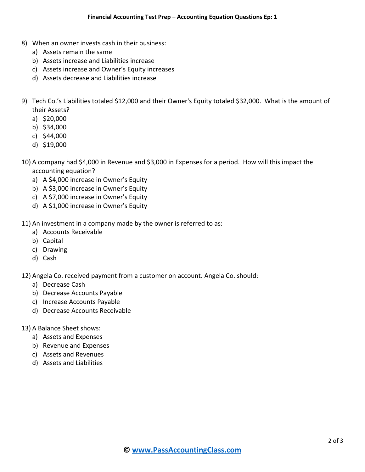- 8) When an owner invests cash in their business:
	- a) Assets remain the same
	- b) Assets increase and Liabilities increase
	- c) Assets increase and Owner's Equity increases
	- d) Assets decrease and Liabilities increase
- 9) Tech Co.'s Liabilities totaled \$12,000 and their Owner's Equity totaled \$32,000. What is the amount of their Assets?
	- a) \$20,000
	- b) \$34,000
	- c) \$44,000
	- d) \$19,000
- 10) A company had \$4,000 in Revenue and \$3,000 in Expenses for a period. How will this impact the accounting equation?
	- a) A \$4,000 increase in Owner's Equity
	- b) A \$3,000 increase in Owner's Equity
	- c) A \$7,000 increase in Owner's Equity
	- d) A \$1,000 increase in Owner's Equity
- 11) An investment in a company made by the owner is referred to as:
	- a) Accounts Receivable
	- b) Capital
	- c) Drawing
	- d) Cash

12) Angela Co. received payment from a customer on account. Angela Co. should:

- a) Decrease Cash
- b) Decrease Accounts Payable
- c) Increase Accounts Payable
- d) Decrease Accounts Receivable
- 13) A Balance Sheet shows:
	- a) Assets and Expenses
	- b) Revenue and Expenses
	- c) Assets and Revenues
	- d) Assets and Liabilities